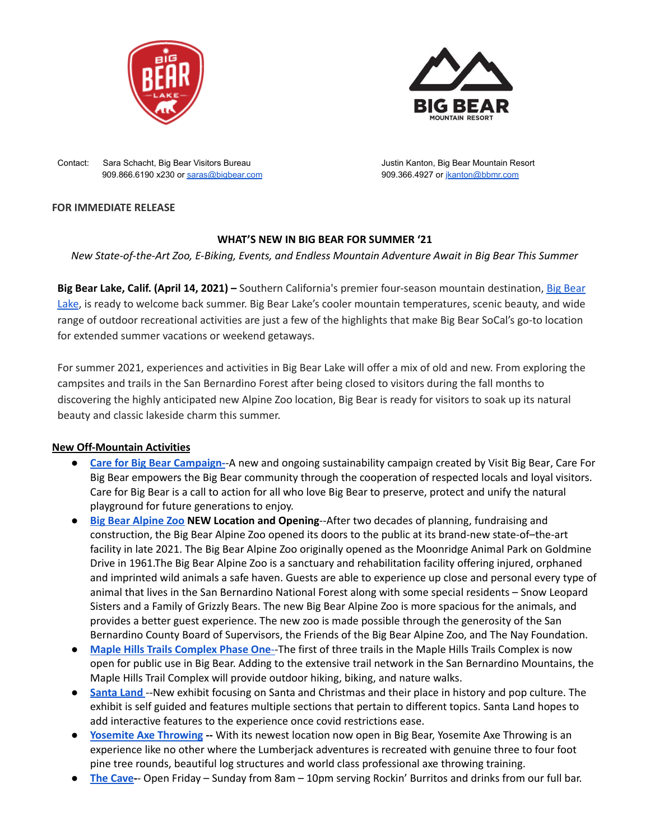



Contact: Sara Schacht, Big Bear Visitors Bureau Justin Kanton, Big Bear Mountain Resort 909.866.6190 x230 or [saras@bigbear.com](mailto:saras@bigbear.com) 909.366.4927 or [jkanton@bbmr.com](mailto:jkanton@bbmr.com)

#### **FOR IMMEDIATE RELEASE**

## **WHAT'S NEW IN BIG BEAR FOR SUMMER '21**

*New State-of-the-Art Zoo, E-Biking, Events, and Endless Mountain Adventure Await in Big Bear This Summer*

**Big Bear Lake, Calif. (April 14, 2021) –** Southern California's premier four-season mountain destination, Big [Bear](https://www.bigbear.com/) [Lake](https://www.bigbear.com/), is ready to welcome back summer. Big Bear Lake's cooler mountain temperatures, scenic beauty, and wide range of outdoor recreational activities are just a few of the highlights that make Big Bear SoCal's go-to location for extended summer vacations or weekend getaways.

For summer 2021, experiences and activities in Big Bear Lake will offer a mix of old and new. From exploring the campsites and trails in the San Bernardino Forest after being closed to visitors during the fall months to discovering the highly anticipated new Alpine Zoo location, Big Bear is ready for visitors to soak up its natural beauty and classic lakeside charm this summer.

#### **New Off-Mountain Activities**

- **Care for Big Bear [Campaign-](https://www.bigbear.com/care-for-big-bear/)**-A new and ongoing sustainability campaign created by Visit Big [Bear](https://www.bigbear.com/), Care For Big Bear empowers the Big Bear community through the cooperation of respected locals and loyal visitors. Care for Big Bear is a call to action for all who love Big Bear to preserve, protect and unify the natural playground for future generations to enjoy.
- **Big Bear [Alpine](https://www.bigbearzoo.org/) Zoo NEW Location and Opening**--After two decades of planning, fundraising and construction, the Big Bear Alpine Zoo opened its doors to the public at its brand-new state-of–the-art facility in late 2021. The Big Bear Alpine Zoo originally opened as the Moonridge Animal Park on Goldmine Drive in 1961.The Big Bear Alpine Zoo is a sanctuary and rehabilitation facility offering injured, orphaned and imprinted wild animals a safe haven. Guests are able to experience up close and personal every type of animal that lives in the San Bernardino National Forest along with some special residents – Snow Leopard Sisters and a Family of Grizzly Bears. The new Big Bear Alpine Zoo is more spacious for the animals, and provides a better guest experience. The new zoo is made possible through the generosity of the San Bernardino County Board of Supervisors, the Friends of the Big Bear Alpine Zoo, and The Nay Foundation.
- **● Maple Hills Trails [Complex](https://bigbeartrails.org/) Phase One**--The first of three trails in the Maple Hills Trails Complex is now open for public use in Big Bear. Adding to the extensive trail network in the San Bernardino Mountains, the Maple Hills Trail Complex will provide outdoor hiking, biking, and nature walks.
- **[Santa](https://www.bigbear.com/directory/santa-land-big-bear/) Land** --New exhibit focusing on Santa and Christmas and their place in history and pop culture. The exhibit is self guided and features multiple sections that pertain to different topics. Santa Land hopes to add interactive features to the experience once covid restrictions ease.
- **● Yosemite Axe [Throwing](https://www.bigbear.com/directory/santa-land-big-bear/) --** With its newest location now open in Big Bear, Yosemite Axe Throwing is an experience like no other where the Lumberjack adventures is recreated with genuine three to four foot pine tree rounds, beautiful log structures and world class professional axe throwing training.
- **The [Cave](https://thecavebigbear.com/)-** Open Friday Sunday from 8am 10pm serving Rockin' Burritos and drinks from our full bar.